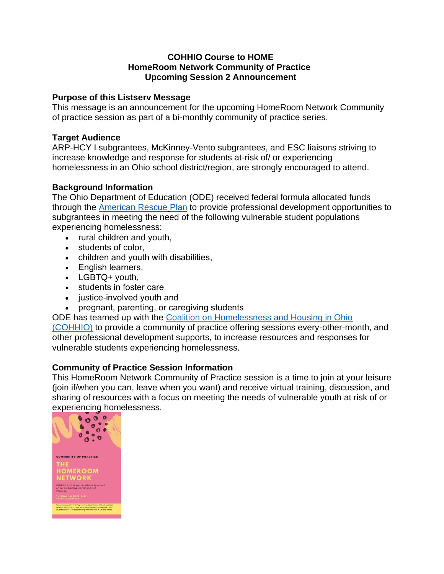#### **COHHIO Course to HOME HomeRoom Network Community of Practice Upcoming Session 2 Announcement**

## **Purpose of this Listserv Message**

This message is an announcement for the upcoming HomeRoom Network Community of practice session as part of a bi-monthly community of practice series.

### **Target Audience**

ARP-HCY I subgrantees, McKinney-Vento subgrantees, and ESC liaisons striving to increase knowledge and response for students at-risk of/ or experiencing homelessness in an Ohio school district/region, are strongly encouraged to attend.

# **Background Information**

The Ohio Department of Education (ODE) received federal formula allocated funds through the [American Rescue](https://education.ohio.gov/Topics/Student-Supports/Homeless-Youth/American-Rescue-Plan-Homeless-II-Funds) Plan to provide professional development opportunities to subgrantees in meeting the need of the following vulnerable student populations experiencing homelessness:

- rural children and youth,
- students of color,
- children and youth with disabilities,
- English learners,
- LGBTQ+ youth,
- students in foster care
- justice-involved youth and
- pregnant, parenting, or caregiving students

ODE has teamed up with the [Coalition on Homelessness and Housing in Ohio](https://cohhio.org/) 

[\(COHHIO\)](https://cohhio.org/) to provide a community of practice offering sessions every-other-month, and other professional development supports, to increase resources and responses for vulnerable students experiencing homelessness.

# **Community of Practice Session Information**

This HomeRoom Network Community of Practice session is a time to join at your leisure (join if/when you can, leave when you want) and receive virtual training, discussion, and sharing of resources with a focus on meeting the needs of vulnerable youth at risk of or experiencing homelessness.